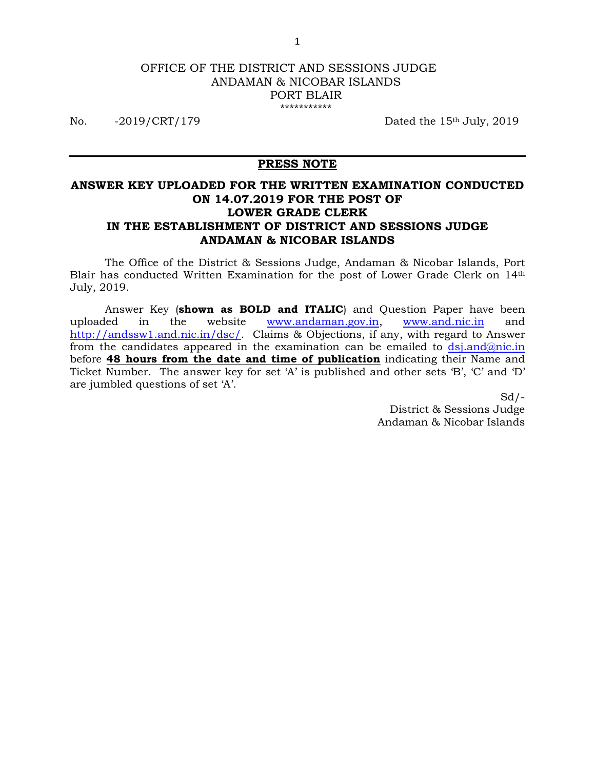#### OFFICE OF THE DISTRICT AND SESSIONS JUDGE ANDAMAN & NICOBAR ISLANDS PORT BLAIR \*\*\*\*\*\*\*\*\*\*\*

No. -2019/CRT/179 Dated the 15<sup>th</sup> July, 2019

## **PRESS NOTE**

# **ANSWER KEY UPLOADED FOR THE WRITTEN EXAMINATION CONDUCTED ON 14.07.2019 FOR THE POST OF LOWER GRADE CLERK IN THE ESTABLISHMENT OF DISTRICT AND SESSIONS JUDGE ANDAMAN & NICOBAR ISLANDS**

 The Office of the District & Sessions Judge, Andaman & Nicobar Islands, Port Blair has conducted Written Examination for the post of Lower Grade Clerk on 14th July, 2019.

 Answer Key (**shown as BOLD and ITALIC**) and Question Paper have been uploaded in the website www.andaman.gov.in, www.and.nic.in and http://andssw1.and.nic.in/dsc/. Claims & Objections, if any, with regard to Answer from the candidates appeared in the examination can be emailed to  $ds$ *j.and* $@$ *nic.in* before **48 hours from the date and time of publication** indicating their Name and Ticket Number. The answer key for set 'A' is published and other sets 'B', 'C' and 'D' are jumbled questions of set 'A'.

> $Sd/-$ District & Sessions Judge Andaman & Nicobar Islands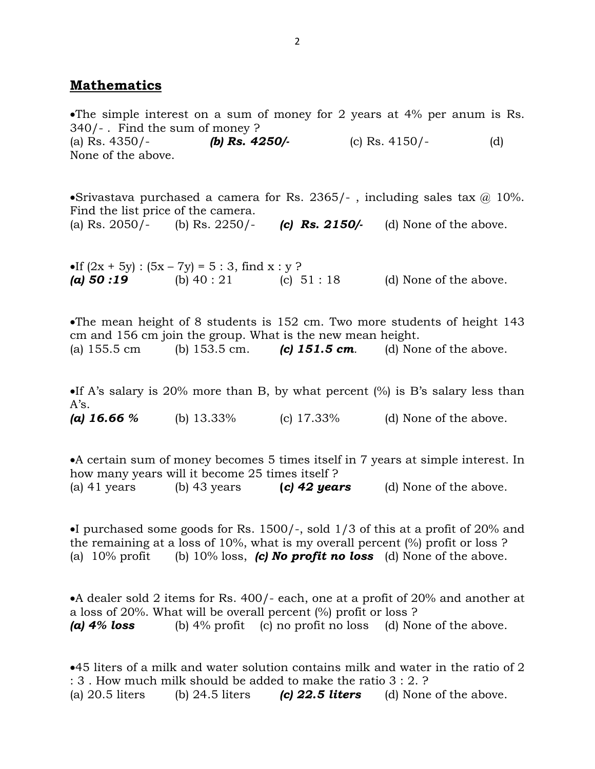# **Mathematics**

The simple interest on a sum of money for 2 years at 4% per anum is Rs. 340/- . Find the sum of money ? (a) Rs. 4350/- *(b) Rs. 4250/-* (c) Rs. 4150/- (d) None of the above.

Srivastava purchased a camera for Rs. 2365/-, including sales tax  $\omega$  10%. Find the list price of the camera. (a) Rs. 2050/- (b) Rs. 2250/- *(c) Rs. 2150/-* (d) None of the above.

If  $(2x + 5y)$ :  $(5x - 7y) = 5$ : 3, find  $x : y$ ? *(a) 50 :19* (b) 40 : 21 (c) 51 : 18 (d) None of the above.

The mean height of 8 students is 152 cm. Two more students of height 143 cm and 156 cm join the group. What is the new mean height. (a) 155.5 cm (b) 153.5 cm. *(c) 151.5 cm.* (d) None of the above.

If A's salary is 20% more than B, by what percent  $(\%)$  is B's salary less than A's. *(a) 16.66 %* (b) 13.33% (c) 17.33% (d) None of the above.

A certain sum of money becomes 5 times itself in 7 years at simple interest. In how many years will it become 25 times itself ? (a) 41 years (b) 43 years **(***c) 42 years* (d) None of the above.

I purchased some goods for Rs.  $1500/-$ , sold  $1/3$  of this at a profit of 20% and the remaining at a loss of 10%, what is my overall percent (%) profit or loss ? (a)  $10\%$  profit (b)  $10\%$  loss, **(c) No profit no loss** (d) None of the above.

A dealer sold 2 items for Rs. 400/- each, one at a profit of 20% and another at a loss of 20%. What will be overall percent (%) profit or loss ? *(a) 4% loss* (b) 4% profit (c) no profit no loss (d) None of the above.

45 liters of a milk and water solution contains milk and water in the ratio of 2 : 3 . How much milk should be added to make the ratio 3 : 2. ? (a) 20.5 liters (b) 24.5 liters *(c) 22.5 liters*(d) None of the above.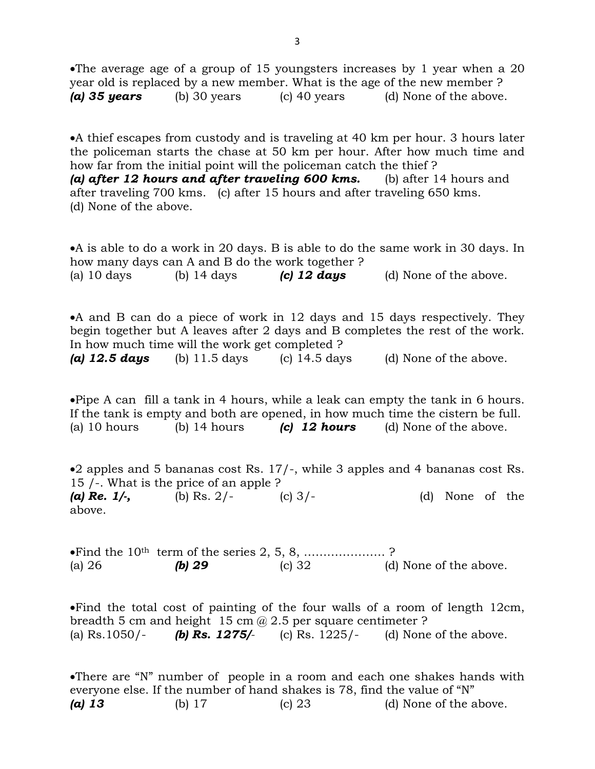The average age of a group of 15 youngsters increases by 1 year when a 20 year old is replaced by a new member. What is the age of the new member ? *(a) 35 years* (b) 30 years (c) 40 years (d) None of the above.

A thief escapes from custody and is traveling at 40 km per hour. 3 hours later the policeman starts the chase at 50 km per hour. After how much time and how far from the initial point will the policeman catch the thief ? *(a) after 12 hours and after traveling 600 kms.* (b) after 14 hours and after traveling 700 kms. (c) after 15 hours and after traveling 650 kms. (d) None of the above.

A is able to do a work in 20 days. B is able to do the same work in 30 days. In how many days can A and B do the work together ? (a) 10 days (b) 14 days **(c) 12 days** (d) None of the above.

A and B can do a piece of work in 12 days and 15 days respectively. They begin together but A leaves after 2 days and B completes the rest of the work. In how much time will the work get completed ? (a) 12.5 days (b)  $11.5 \text{ days}$  (c)  $14.5 \text{ days}$  (d) None of the above.

Pipe A can fill a tank in 4 hours, while a leak can empty the tank in 6 hours. If the tank is empty and both are opened, in how much time the cistern be full.

(a) 10 hours (b) 14 hours *(c) 12 hours* (d) None of the above.

2 apples and 5 bananas cost Rs. 17/-, while 3 apples and 4 bananas cost Rs. 15 /-. What is the price of an apple ? *(a) Re. 1/-,* (b) Rs. 2/- (c) 3/- (d) None of the above.

Find the 10th term of the series 2, 5, 8, ………………… ? (a) 26 *(b) 29* (c) 32 (d) None of the above.

Find the total cost of painting of the four walls of a room of length 12cm, breadth 5 cm and height 15 cm  $\omega$  2.5 per square centimeter ? (a) Rs.1050/- *(b) Rs. 1275/-* (c) Rs. 1225/- (d) None of the above.

There are "N" number of people in a room and each one shakes hands with everyone else. If the number of hand shakes is 78, find the value of "N" *(a) 13* (b) 17 (c) 23 (d) None of the above.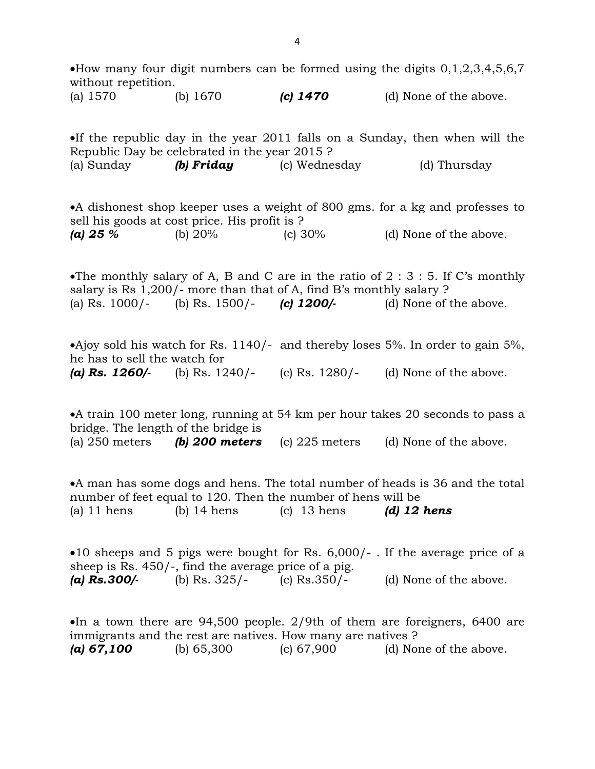How many four digit numbers can be formed using the digits  $0,1,2,3,4,5,6,7$ without repetition.

(a) 1570 (b) 1670 *(c) 1470* (d) None of the above.

If the republic day in the year 2011 falls on a Sunday, then when will the Republic Day be celebrated in the year 2015 ? (a) Sunday *(b) Friday* (c) Wednesday (d) Thursday

A dishonest shop keeper uses a weight of 800 gms. for a kg and professes to sell his goods at cost price. His profit is ? *(a) 25 %* (b) 20% (c) 30% (d) None of the above.

The monthly salary of A, B and C are in the ratio of  $2:3:5$ . If C's monthly salary is Rs 1,200/- more than that of A, find B's monthly salary ? (a) Rs. 1000/- (b) Rs. 1500/- *(c) 1200/-* (d) None of the above.

•Ajoy sold his watch for Rs. 1140/- and thereby loses 5%. In order to gain 5%, he has to sell the watch for *(a) Rs. 1260/-* (b) Rs. 1240/- (c) Rs. 1280/- (d) None of the above.

A train 100 meter long, running at 54 km per hour takes 20 seconds to pass a bridge. The length of the bridge is (a) 250 meters *(b) 200 meters* (c) 225 meters (d) None of the above.

A man has some dogs and hens. The total number of heads is 36 and the total number of feet equal to 120. Then the number of hens will be (a) 11 hens (b) 14 hens (c) 13 hens *(d) 12 hens*

10 sheeps and 5 pigs were bought for Rs. 6,000/- . If the average price of a sheep is Rs. 450/-, find the average price of a pig. *(a) Rs.300/-* (b) Rs. 325/- (c) Rs.350/- (d) None of the above.

In a town there are  $94,500$  people.  $2/9$ th of them are foreigners, 6400 are immigrants and the rest are natives. How many are natives ? *(a) 67,100* (b) 65,300 (c) 67,900 (d) None of the above.

4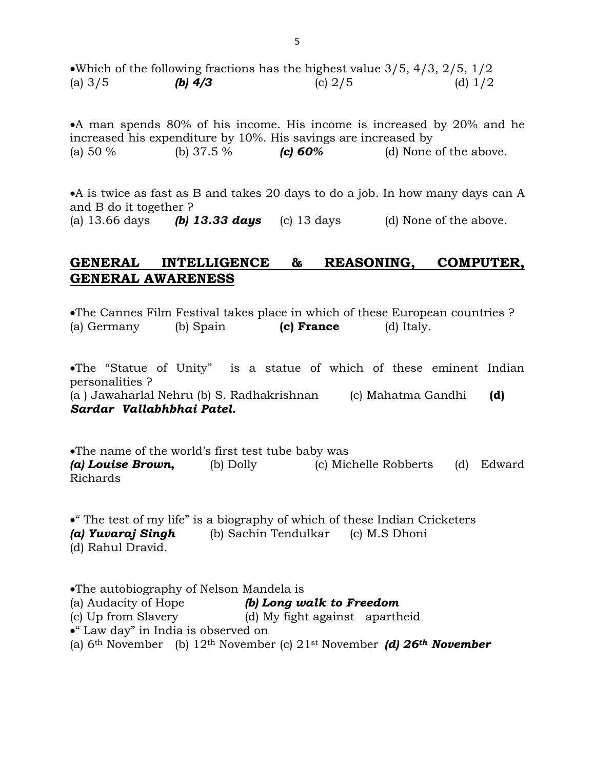Which of the following fractions has the highest value 3/5, 4/3, 2/5, 1/2 (a)  $3/5$  **(b) 4/3** (c)  $2/5$  (d)  $1/2$ 

A man spends 80% of his income. His income is increased by 20% and he increased his expenditure by 10%. His savings are increased by (a) 50 % (b) 37.5 % *(c) 60%* (d) None of the above.

A is twice as fast as B and takes 20 days to do a job. In how many days can A and B do it together ? (a)  $13.66$  days *(b)* **13.33 days** (c) 13 days (d) None of the above.

# **GENERAL INTELLIGENCE & REASONING, COMPUTER, GENERAL AWARENESS**

The Cannes Film Festival takes place in which of these European countries ? (a) Germany (b) Spain **(c) France** (d) Italy.

The "Statue of Unity" is a statue of which of these eminent Indian personalities ? (a ) Jawaharlal Nehru (b) S. Radhakrishnan (c) Mahatma Gandhi **(d)**  *Sardar Vallabhbhai Patel.*

The name of the world's first test tube baby was *(a) Louise Brown***,** (b) Dolly (c) Michelle Robberts (d) Edward Richards

" The test of my life" is a biography of which of these Indian Cricketers *(a) Yuvaraj Singh* (b) Sachin Tendulkar (c) M.S Dhoni (d) Rahul Dravid.

The autobiography of Nelson Mandela is (a) Audacity of Hope *(b) Long walk to Freedom* (c) Up from Slavery (d) My fight against apartheid " Law day" in India is observed on (a) 6th November (b) 12th November (c) 21st November *(d) 26th November*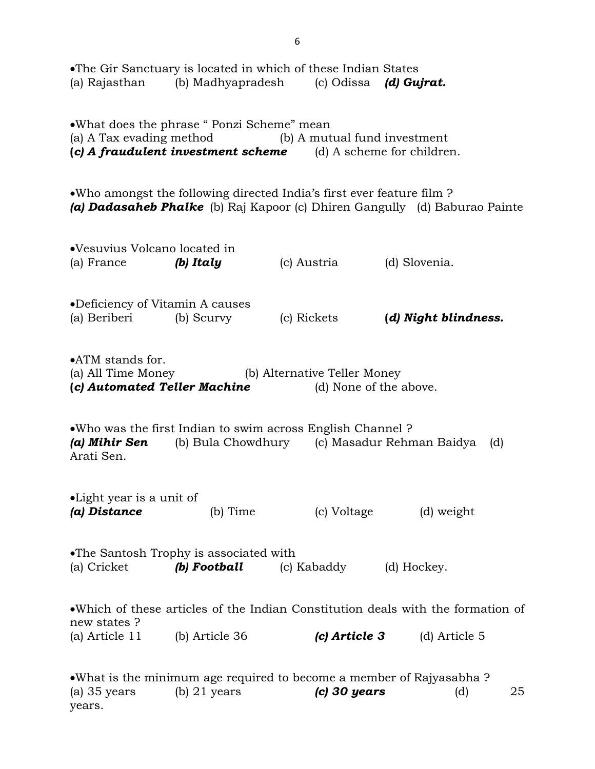| (a) Rajasthan                                                                                                                                                         |                                                        | •The Gir Sanctuary is located in which of these Indian States<br>(b) Madhyapradesh (c) Odissa (d) Gujrat. |                                                                                                   |  |  |
|-----------------------------------------------------------------------------------------------------------------------------------------------------------------------|--------------------------------------------------------|-----------------------------------------------------------------------------------------------------------|---------------------------------------------------------------------------------------------------|--|--|
| •What does the phrase "Ponzi Scheme" mean<br>(a) A Tax evading method (b) A mutual fund investment<br>(c) A fraudulent investment scheme $(d)$ A scheme for children. |                                                        |                                                                                                           |                                                                                                   |  |  |
|                                                                                                                                                                       |                                                        | • Who amongst the following directed India's first ever feature film ?                                    | (a) <b>Dadasaheb Phalke</b> (b) Raj Kapoor (c) Dhiren Gangully (d) Baburao Painte                 |  |  |
| •Vesuvius Volcano located in<br>(a) France                                                                                                                            | (b) Italy                                              | (c) Austria                                                                                               | (d) Slovenia.                                                                                     |  |  |
| •Deficiency of Vitamin A causes<br>(a) Beriberi                                                                                                                       | (b) Scurvy                                             | (c) Rickets                                                                                               | (d) Night blindness.                                                                              |  |  |
| •ATM stands for.<br>(a) All Time Money<br>(c) Automated Teller Machine                                                                                                |                                                        | (b) Alternative Teller Money<br>(d) None of the above.                                                    |                                                                                                   |  |  |
| • Who was the first Indian to swim across English Channel?<br>(b) Bula Chowdhury (c) Masadur Rehman Baidya<br>(a) Mihir Sen<br>(d)<br>Arati Sen.                      |                                                        |                                                                                                           |                                                                                                   |  |  |
| •Light year is a unit of<br>(a) Distance                                                                                                                              | $(b)$ Time                                             | (c) Voltage                                                                                               | (d) weight                                                                                        |  |  |
| (a) Cricket                                                                                                                                                           | •The Santosh Trophy is associated with<br>(b) Football | (c) Kabaddy                                                                                               | (d) Hockey.                                                                                       |  |  |
| new states?<br>(a) Article 11                                                                                                                                         | (b) Article 36                                         | $(c)$ Article 3                                                                                           | • Which of these articles of the Indian Constitution deals with the formation of<br>(d) Article 5 |  |  |
| $(a)$ 35 years<br>years.                                                                                                                                              | $(b)$ 21 years                                         | $(c)$ 30 years                                                                                            | • What is the minimum age required to become a member of Rajyasabha ?<br>25<br>(d)                |  |  |

6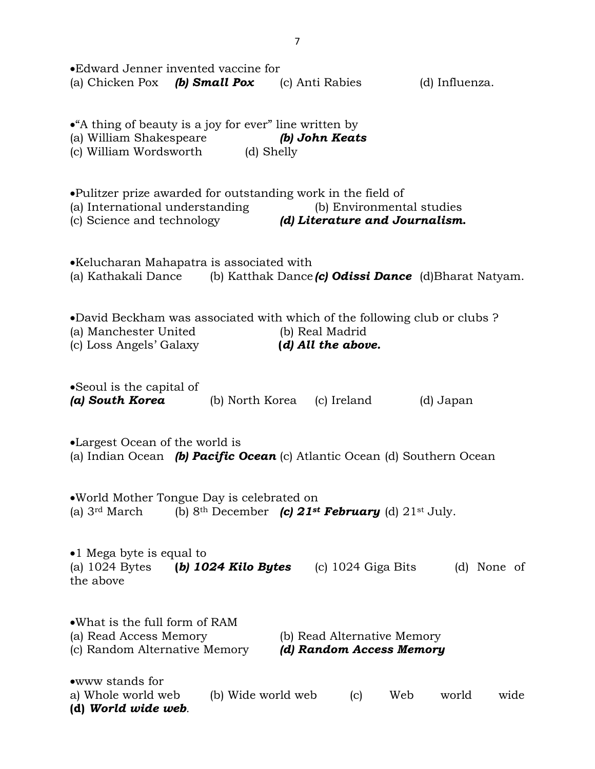| •Edward Jenner invented vaccine for<br>(a) Chicken Pox (b) Small Pox<br>(c) Anti Rabies<br>(d) Influenza.                                                                                    |
|----------------------------------------------------------------------------------------------------------------------------------------------------------------------------------------------|
| • A thing of beauty is a joy for ever" line written by<br>(a) William Shakespeare<br>(b) John Keats<br>(c) William Wordsworth (d) Shelly                                                     |
| •Pulitzer prize awarded for outstanding work in the field of<br>(a) International understanding<br>(b) Environmental studies<br>(d) Literature and Journalism.<br>(c) Science and technology |
| •Kelucharan Mahapatra is associated with<br>(a) Kathakali Dance<br>(b) Katthak Dance (c) Odissi Dance $(d)$ Bharat Natyam.                                                                   |
| •David Beckham was associated with which of the following club or clubs?<br>(b) Real Madrid<br>(a) Manchester United<br>(c) Loss Angels' Galaxy<br>(d) All the above.                        |
| • Seoul is the capital of<br>(a) South Korea<br>(b) North Korea (c) Ireland<br>(d) Japan                                                                                                     |
| •Largest Ocean of the world is<br>(a) Indian Ocean (b) Pacific Ocean (c) Atlantic Ocean (d) Southern Ocean                                                                                   |
| .World Mother Tongue Day is celebrated on<br>(b) 8 <sup>th</sup> December (c) 21 <sup>st</sup> February (d) 21 <sup>st</sup> July.<br>(a) $3rd March$                                        |
| •1 Mega byte is equal to<br>(a) $1024$ Bytes<br>(b) $1024$ Kilo Bytes<br>$(c)$ 1024 Giga Bits<br>(d) None of<br>the above                                                                    |
| • What is the full form of RAM<br>(a) Read Access Memory<br>(b) Read Alternative Memory<br>(c) Random Alternative Memory<br>(d) Random Access Memory                                         |
| •www stands for<br>(b) Wide world web<br>a) Whole world web<br>Web<br>world<br>(c)<br>wide<br>(d) World wide web.                                                                            |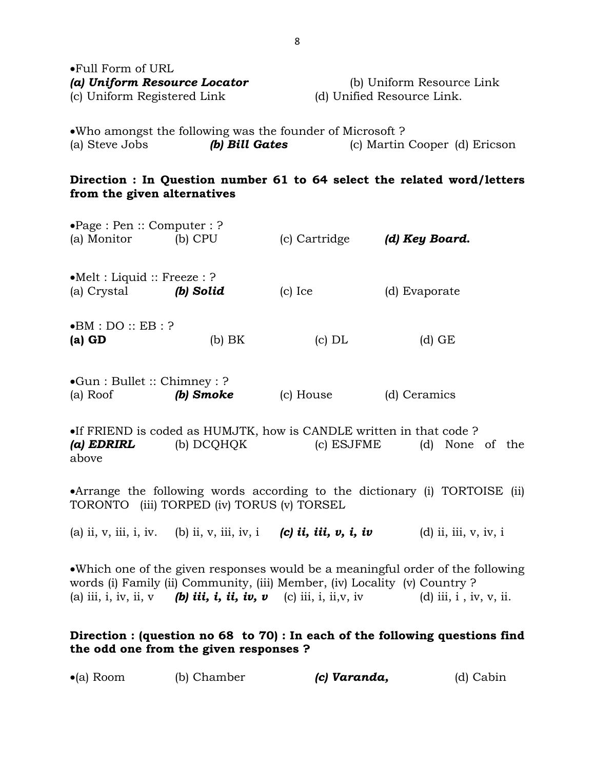| $\bullet$ Full Form of URL   |                            |
|------------------------------|----------------------------|
| (a) Uniform Resource Locator | (b) Uniform Resource Link  |
| (c) Uniform Registered Link  | (d) Unified Resource Link. |

Who amongst the following was the founder of Microsoft ? (a) Steve Jobs *(b) Bill Gates* (c) Martin Cooper (d) Ericson

# **Direction : In Question number 61 to 64 select the related word/letters from the given alternatives**

| $\bullet$ Page : Pen :: Computer : ?<br>(a) Monitor  | $(b)$ CPU | (c) Cartridge | (d) Key Board. |
|------------------------------------------------------|-----------|---------------|----------------|
| $\bullet$ Melt : Liquid :: Freeze : ?<br>(a) Crystal | (b) Solid | $(c)$ Ice     | (d) Evaporate  |
| $\bullet$ BM : DO :: EB : ?<br>$(a)$ GD              | (b) BK    | (c) DL        | (d) GE         |

Gun : Bullet :: Chimney : ? (a) Roof *(b) Smoke* (c) House (d) Ceramics

 $\bullet$ If FRIEND is coded as HUMJTK, how is CANDLE written in that code ? *(a) EDRIRL* (b) DCQHQK (c) ESJFME (d) None of the above

Arrange the following words according to the dictionary (i) TORTOISE (ii) TORONTO (iii) TORPED (iv) TORUS (v) TORSEL

(a) ii, v, iii, i, iv. (b) ii, v, iii, iv, i *(c) ii, iii, v, i, iv* (d) ii, iii, v, iv, i

Which one of the given responses would be a meaningful order of the following words (i) Family (ii) Community, (iii) Member, (iv) Locality (v) Country ? (a) iii, i, iv, ii,  $\mathbf{v}$  **(b) iii, i, iii, iv, v** (c) iii, i, ii, v, iv (d) iii, i, iv, v, ii.

# **Direction : (question no 68 to 70) : In each of the following questions find the odd one from the given responses ?**

| $\bullet$ (a) Room | (b) Chamber | (c) Varanda, | (d) Cabin |
|--------------------|-------------|--------------|-----------|
|--------------------|-------------|--------------|-----------|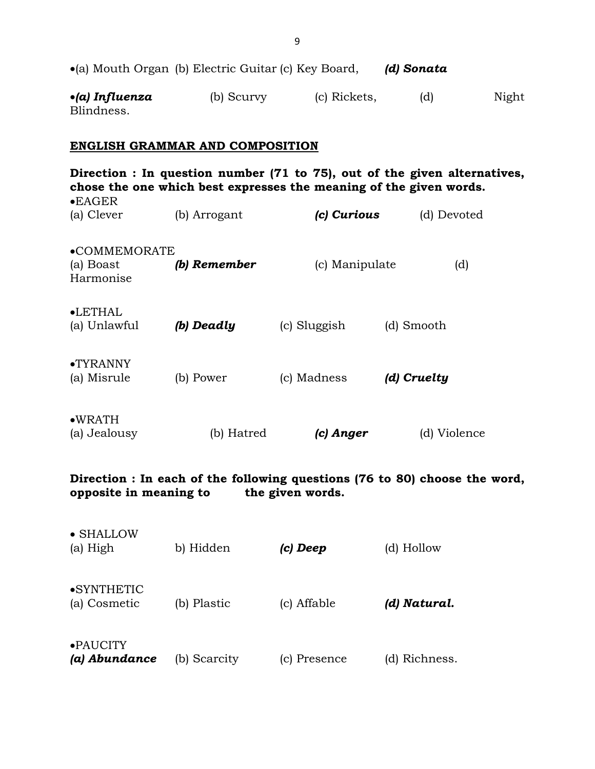|                                       | $\bullet$ (a) Mouth Organ (b) Electric Guitar (c) Key Board, |              | (d) Sonata |       |
|---------------------------------------|--------------------------------------------------------------|--------------|------------|-------|
| $\bullet$ (a) Influenza<br>Blindness. | (b) Scurvy                                                   | (c) Rickets, | (d)        | Night |

#### **ENGLISH GRAMMAR AND COMPOSITION**

**Direction : In question number (71 to 75), out of the given alternatives, chose the one which best expresses the meaning of the given words.**  EAGER (a) Clever (b) Arrogant *(c) Curious* (d) Devoted COMMEMORATE (a) Boast *(b) Remember* (c) Manipulate (d) Harmonise LETHAL (a) Unlawful *(b) Deadly* (c) Sluggish (d) Smooth TYRANNY (a) Misrule (b) Power (c) Madness *(d) Cruelty*  WRATH (a) Jealousy (b) Hatred *(c) Anger* (d) Violence

**Direction : In each of the following questions (76 to 80) choose the word, opposite in meaning to the given words.** 

| •PAUCITY<br>(a) Abundance  | (b) Scarcity | c) Presence | (d) Richness. |
|----------------------------|--------------|-------------|---------------|
| •SYNTHETIC<br>(a) Cosmetic | (b) Plastic  | (c) Affable | (d) Natural.  |
| • SHALLOW<br>(a) High      | b) Hidden    | (c) Deep    | (d) Hollow    |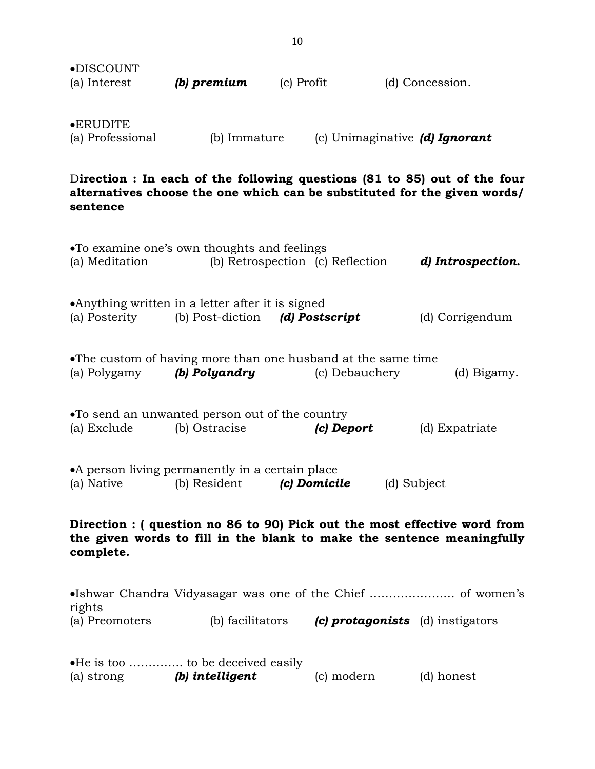| •DISCOUNT<br>(a) Interest             | (b) premium  | (c) Profit | (d) Concession.                |
|---------------------------------------|--------------|------------|--------------------------------|
| $\bullet$ ERUDITE<br>(a) Professional | (b) Immature |            | (c) Unimaginative (d) Ignorant |

D**irection : In each of the following questions (81 to 85) out of the four alternatives choose the one which can be substituted for the given words/ sentence** 

|                            | •To examine one's own thoughts and feelings<br>(a) Meditation (b) Retrospection (c) Reflection                                                     |                | d) Introspection.                |
|----------------------------|----------------------------------------------------------------------------------------------------------------------------------------------------|----------------|----------------------------------|
|                            | •Anything written in a letter after it is signed<br>(a) Posterity (b) Post-diction (d) Postscript                                                  |                | (d) Corrigendum                  |
|                            | •The custom of having more than one husband at the same time<br>(a) Polygamy <b>(b) Polyandry</b>                                                  | (c) Debauchery | (d) Bigamy.                      |
| (a) Exclude                | •To send an unwanted person out of the country<br>(b) Ostracise                                                                                    | (c) Deport     | (d) Expatriate                   |
|                            | • A person living permanently in a certain place<br>(a) Native $\qquad$ (b) Resident $\qquad$ (c) Domicile                                         |                | (d) Subject                      |
| complete.                  | Direction : (question no 86 to 90) Pick out the most effective word from<br>the given words to fill in the blank to make the sentence meaningfully |                |                                  |
|                            | •Ishwar Chandra Vidyasagar was one of the Chief  of women's                                                                                        |                |                                  |
| rights                     | (a) Preomoters (b) facilitators                                                                                                                    |                | (c) protagonists (d) instigators |
| (a) strong (b) intelligent | •He is too  to be deceived easily                                                                                                                  | (c) modern     | (d) honest                       |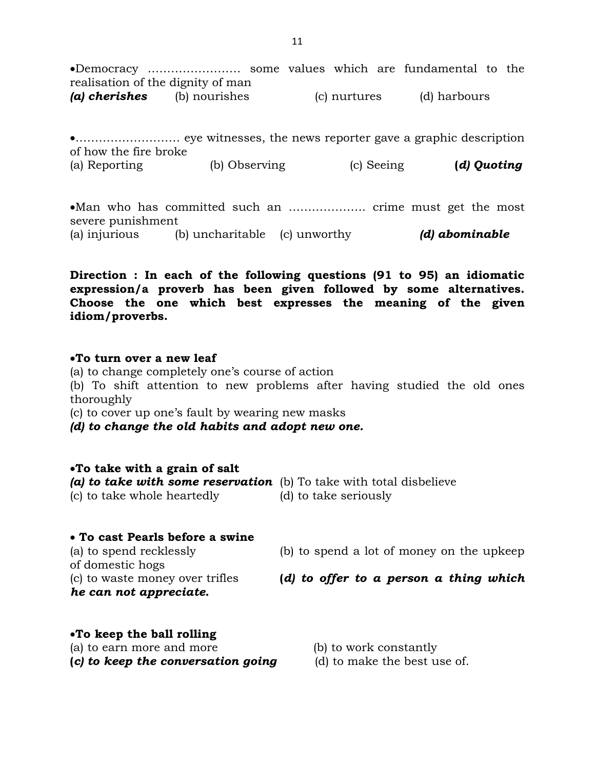Democracy …………………… some values which are fundamental to the realisation of the dignity of man *(a) cherishes* (b) nourishes (c) nurtures (d) harbours

……………………… eye witnesses, the news reporter gave a graphic description of how the fire broke (a) Reporting (b) Observing (c) Seeing **(d) Quoting** 

Man who has committed such an ……………….. crime must get the most severe punishment (a) injurious (b) uncharitable (c) unworthy *(d) abominable*

**Direction : In each of the following questions (91 to 95) an idiomatic expression/a proverb has been given followed by some alternatives. Choose the one which best expresses the meaning of the given idiom/proverbs.** 

### **To turn over a new leaf**

(a) to change completely one's course of action

(b) To shift attention to new problems after having studied the old ones thoroughly

(c) to cover up one's fault by wearing new masks

*(d) to change the old habits and adopt new one.* 

# **To take with a grain of salt**

*(a) to take with some reservation* (b) To take with total disbelieve (c) to take whole heartedly (d) to take seriously

# **To cast Pearls before a swine**

(a) to spend recklessly (b) to spend a lot of money on the upkeep of domestic hogs

*he can not appreciate.* 

- (c) to waste money over trifles **(***d) to offer to a person a thing which*
- **To keep the ball rolling**

(a) to earn more and more (b) to work constantly

- **(***c) to keep the conversation going* (d) to make the best use of.
- -